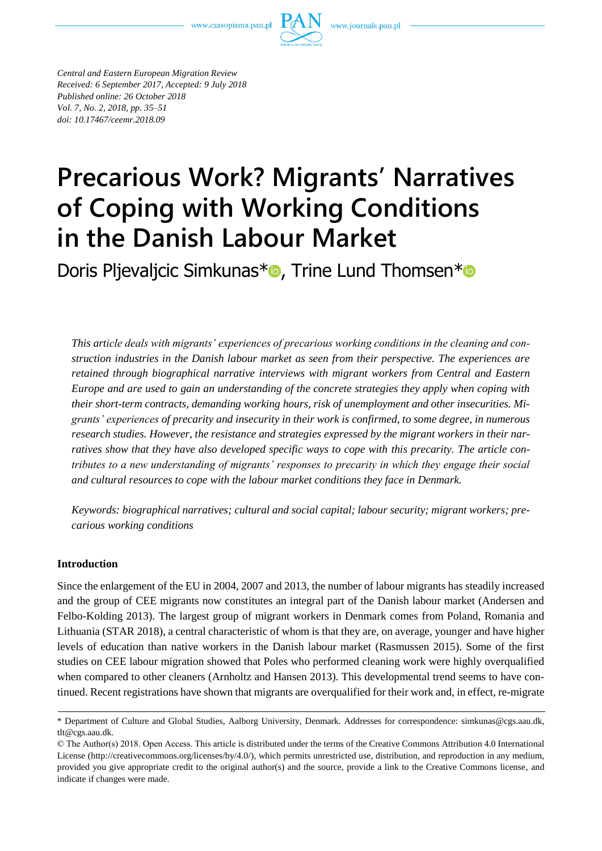

*Central and Eastern European Migration Review Received: 6 September 2017, Accepted: 9 July 2018 Published online: 26 October 2018 Vol. 7, No. 2, 2018, pp. 35–51*

*doi: 10.17467/ceemr.2018.09*

# **Precarious Work? Migrants' Narratives of Coping with Working Conditions in the Danish Labour Market**

Doris Pljevaljcic Simkunas\*<sup>®</sup>[,](https://orcid.org/0000-0002-9557-3877) Trine Lund Thomsen[\\*](https://orcid.org/0000-0002-4308-7244)<sup>®</sup>

*This article deals with migrants' experiences of precarious working conditions in the cleaning and construction industries in the Danish labour market as seen from their perspective. The experiences are retained through biographical narrative interviews with migrant workers from Central and Eastern Europe and are used to gain an understanding of the concrete strategies they apply when coping with their short-term contracts, demanding working hours, risk of unemployment and other insecurities. Migrants' experiences of precarity and insecurity in their work is confirmed, to some degree, in numerous research studies. However, the resistance and strategies expressed by the migrant workers in their narratives show that they have also developed specific ways to cope with this precarity. The article contributes to a new understanding of migrants' responses to precarity in which they engage their social and cultural resources to cope with the labour market conditions they face in Denmark.* 

*Keywords: biographical narratives; cultural and social capital; labour security; migrant workers; precarious working conditions*

# **Introduction**

Since the enlargement of the EU in 2004, 2007 and 2013, the number of labour migrants has steadily increased and the group of CEE migrants now constitutes an integral part of the Danish labour market (Andersen and Felbo-Kolding 2013). The largest group of migrant workers in Denmark comes from Poland, Romania and Lithuania (STAR 2018), a central characteristic of whom is that they are, on average, younger and have higher levels of education than native workers in the Danish labour market (Rasmussen 2015). Some of the first studies on CEE labour migration showed that Poles who performed cleaning work were highly overqualified when compared to other cleaners (Arnholtz and Hansen 2013). This developmental trend seems to have continued. Recent registrations have shown that migrants are overqualified for their work and, in effect, re-migrate

<sup>\*</sup> Department of Culture and Global Studies, Aalborg University, Denmark. Addresses for correspondence: simkunas@cgs.aau.dk, tlt@cgs.aau.dk.

<sup>©</sup> The Author(s) 2018. Open Access. This article is distributed under the terms of the Creative Commons Attribution 4.0 International License [\(http://creativecommons.org/licenses/by/4.0/\)](http://creativecommons.org/licenses/by/4.0/), which permits unrestricted use, distribution, and reproduction in any medium, provided you give appropriate credit to the original author(s) and the source, provide a link to the Creative Commons license, and indicate if changes were made.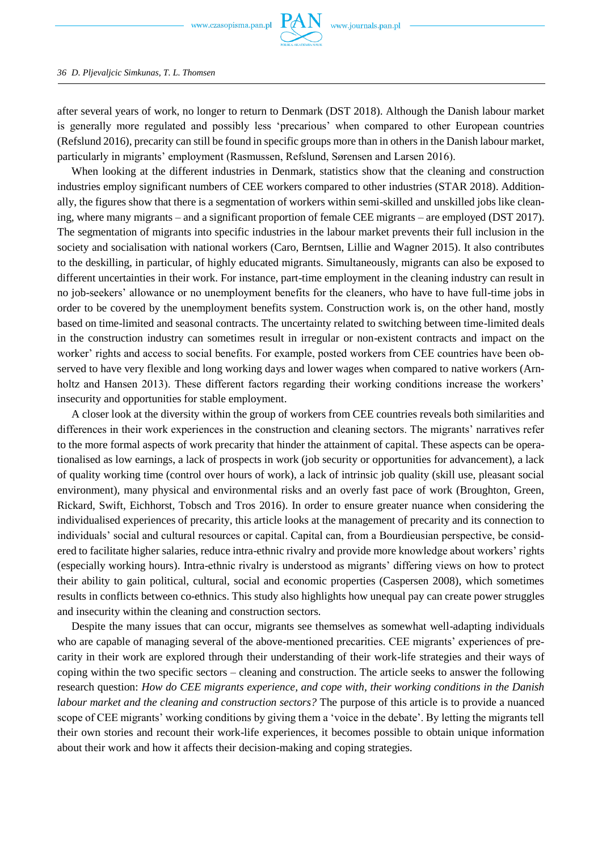after several years of work, no longer to return to Denmark (DST 2018). Although the Danish labour market is generally more regulated and possibly less 'precarious' when compared to other European countries (Refslund 2016), precarity can still be found in specific groups more than in others in the Danish labour market, particularly in migrants' employment (Rasmussen, Refslund, Sørensen and Larsen 2016).

When looking at the different industries in Denmark, statistics show that the cleaning and construction industries employ significant numbers of CEE workers compared to other industries (STAR 2018). Additionally, the figures show that there is a segmentation of workers within semi-skilled and unskilled jobs like cleaning, where many migrants – and a significant proportion of female CEE migrants – are employed (DST 2017). The segmentation of migrants into specific industries in the labour market prevents their full inclusion in the society and socialisation with national workers (Caro, Berntsen, Lillie and Wagner 2015). It also contributes to the deskilling, in particular, of highly educated migrants. Simultaneously, migrants can also be exposed to different uncertainties in their work. For instance, part-time employment in the cleaning industry can result in no job-seekers' allowance or no unemployment benefits for the cleaners, who have to have full-time jobs in order to be covered by the unemployment benefits system. Construction work is, on the other hand, mostly based on time-limited and seasonal contracts. The uncertainty related to switching between time-limited deals in the construction industry can sometimes result in irregular or non-existent contracts and impact on the worker' rights and access to social benefits. For example, posted workers from CEE countries have been observed to have very flexible and long working days and lower wages when compared to native workers (Arnholtz and Hansen 2013). These different factors regarding their working conditions increase the workers' insecurity and opportunities for stable employment.

A closer look at the diversity within the group of workers from CEE countries reveals both similarities and differences in their work experiences in the construction and cleaning sectors. The migrants' narratives refer to the more formal aspects of work precarity that hinder the attainment of capital. These aspects can be operationalised as low earnings, a lack of prospects in work (job security or opportunities for advancement), a lack of quality working time (control over hours of work), a lack of intrinsic job quality (skill use, pleasant social environment), many physical and environmental risks and an overly fast pace of work (Broughton, Green, Rickard, Swift, Eichhorst, Tobsch and Tros 2016). In order to ensure greater nuance when considering the individualised experiences of precarity, this article looks at the management of precarity and its connection to individuals' social and cultural resources or capital. Capital can, from a Bourdieusian perspective, be considered to facilitate higher salaries, reduce intra-ethnic rivalry and provide more knowledge about workers' rights (especially working hours). Intra-ethnic rivalry is understood as migrants' differing views on how to protect their ability to gain political, cultural, social and economic properties (Caspersen 2008), which sometimes results in conflicts between co-ethnics. This study also highlights how unequal pay can create power struggles and insecurity within the cleaning and construction sectors.

Despite the many issues that can occur, migrants see themselves as somewhat well-adapting individuals who are capable of managing several of the above-mentioned precarities. CEE migrants' experiences of precarity in their work are explored through their understanding of their work-life strategies and their ways of coping within the two specific sectors – cleaning and construction. The article seeks to answer the following research question: *How do CEE migrants experience, and cope with, their working conditions in the Danish labour market and the cleaning and construction sectors?* The purpose of this article is to provide a nuanced scope of CEE migrants' working conditions by giving them a 'voice in the debate'. By letting the migrants tell their own stories and recount their work-life experiences, it becomes possible to obtain unique information about their work and how it affects their decision-making and coping strategies.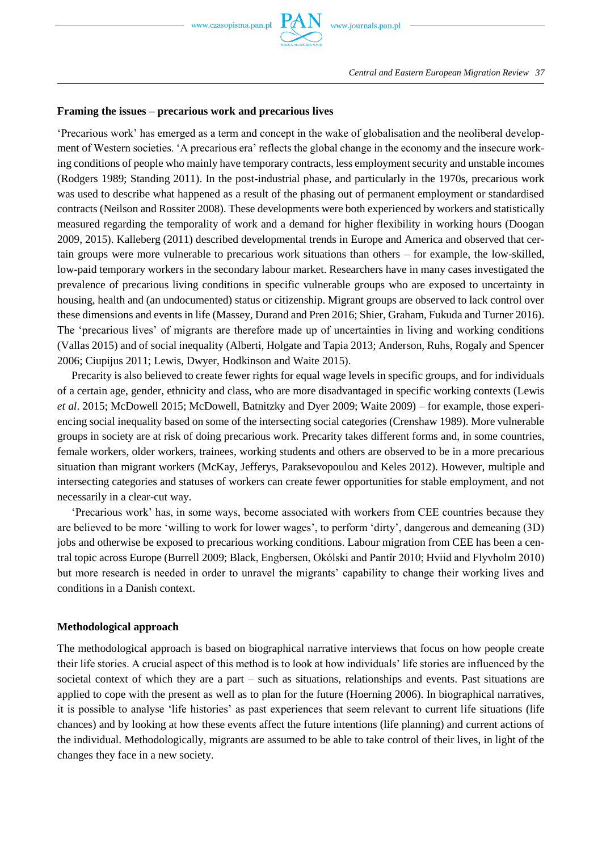# **Framing the issues – precarious work and precarious lives**

'Precarious work' has emerged as a term and concept in the wake of globalisation and the neoliberal development of Western societies. 'A precarious era' reflects the global change in the economy and the insecure working conditions of people who mainly have temporary contracts, less employment security and unstable incomes (Rodgers 1989; Standing 2011). In the post-industrial phase, and particularly in the 1970s, precarious work was used to describe what happened as a result of the phasing out of permanent employment or standardised contracts (Neilson and Rossiter 2008). These developments were both experienced by workers and statistically measured regarding the temporality of work and a demand for higher flexibility in working hours (Doogan 2009, 2015). Kalleberg (2011) described developmental trends in Europe and America and observed that certain groups were more vulnerable to precarious work situations than others – for example, the low-skilled, low-paid temporary workers in the secondary labour market. Researchers have in many cases investigated the prevalence of precarious living conditions in specific vulnerable groups who are exposed to uncertainty in housing, health and (an undocumented) status or citizenship. Migrant groups are observed to lack control over these dimensions and events in life (Massey, Durand and Pren 2016; Shier, Graham, Fukuda and Turner 2016). The 'precarious lives' of migrants are therefore made up of uncertainties in living and working conditions (Vallas 2015) and of social inequality (Alberti, Holgate and Tapia 2013; Anderson, Ruhs, Rogaly and Spencer 2006; Ciupijus 2011; Lewis, Dwyer, Hodkinson and Waite 2015).

Precarity is also believed to create fewer rights for equal wage levels in specific groups, and for individuals of a certain age, gender, ethnicity and class, who are more disadvantaged in specific working contexts (Lewis *et al*. 2015; McDowell 2015; McDowell, Batnitzky and Dyer 2009; Waite 2009) – for example, those experiencing social inequality based on some of the intersecting social categories (Crenshaw 1989). More vulnerable groups in society are at risk of doing precarious work. Precarity takes different forms and, in some countries, female workers, older workers, trainees, working students and others are observed to be in a more precarious situation than migrant workers (McKay, Jefferys, Paraksevopoulou and Keles 2012). However, multiple and intersecting categories and statuses of workers can create fewer opportunities for stable employment, and not necessarily in a clear-cut way.

'Precarious work' has, in some ways, become associated with workers from CEE countries because they are believed to be more 'willing to work for lower wages', to perform 'dirty', dangerous and demeaning (3D) jobs and otherwise be exposed to precarious working conditions. Labour migration from CEE has been a central topic across Europe (Burrell 2009; Black, Engbersen, Okólski and Pantîr 2010; Hviid and Flyvholm 2010) but more research is needed in order to unravel the migrants' capability to change their working lives and conditions in a Danish context.

## **Methodological approach**

The methodological approach is based on biographical narrative interviews that focus on how people create their life stories. A crucial aspect of this method is to look at how individuals' life stories are influenced by the societal context of which they are a part – such as situations, relationships and events. Past situations are applied to cope with the present as well as to plan for the future (Hoerning 2006). In biographical narratives, it is possible to analyse 'life histories' as past experiences that seem relevant to current life situations (life chances) and by looking at how these events affect the future intentions (life planning) and current actions of the individual. Methodologically, migrants are assumed to be able to take control of their lives, in light of the changes they face in a new society.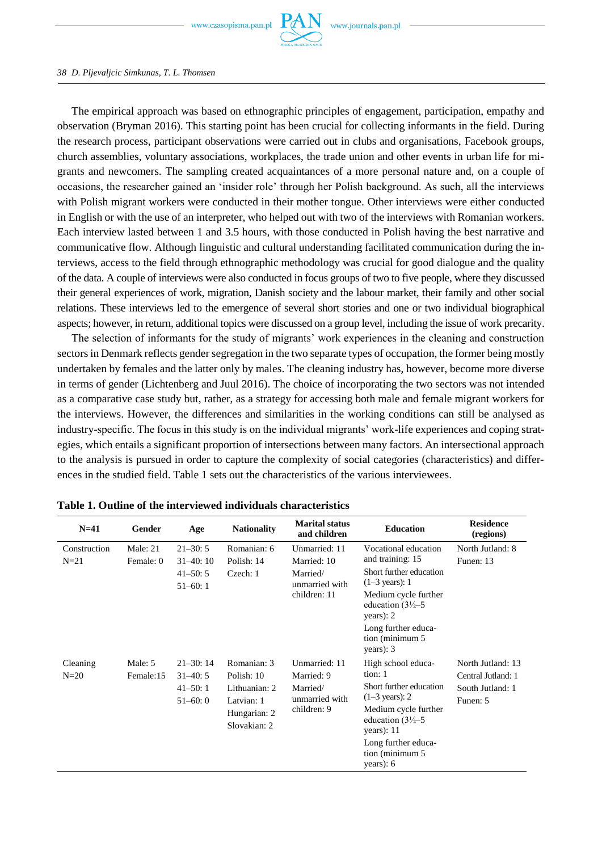

#### *38 D. Pljevaljcic Simkunas, T. L. Thomsen*

The empirical approach was based on ethnographic principles of engagement, participation, empathy and observation (Bryman 2016). This starting point has been crucial for collecting informants in the field. During the research process, participant observations were carried out in clubs and organisations, Facebook groups, church assemblies, voluntary associations, workplaces, the trade union and other events in urban life for migrants and newcomers. The sampling created acquaintances of a more personal nature and, on a couple of occasions, the researcher gained an 'insider role' through her Polish background. As such, all the interviews with Polish migrant workers were conducted in their mother tongue. Other interviews were either conducted in English or with the use of an interpreter, who helped out with two of the interviews with Romanian workers. Each interview lasted between 1 and 3.5 hours, with those conducted in Polish having the best narrative and communicative flow. Although linguistic and cultural understanding facilitated communication during the interviews, access to the field through ethnographic methodology was crucial for good dialogue and the quality of the data. A couple of interviews were also conducted in focus groups of two to five people, where they discussed their general experiences of work, migration, Danish society and the labour market, their family and other social relations. These interviews led to the emergence of several short stories and one or two individual biographical aspects; however, in return, additional topics were discussed on a group level, including the issue of work precarity.

The selection of informants for the study of migrants' work experiences in the cleaning and construction sectors in Denmark reflects gender segregation in the two separate types of occupation, the former being mostly undertaken by females and the latter only by males. The cleaning industry has, however, become more diverse in terms of gender (Lichtenberg and Juul 2016). The choice of incorporating the two sectors was not intended as a comparative case study but, rather, as a strategy for accessing both male and female migrant workers for the interviews. However, the differences and similarities in the working conditions can still be analysed as industry-specific. The focus in this study is on the individual migrants' work-life experiences and coping strategies, which entails a significant proportion of intersections between many factors. An intersectional approach to the analysis is pursued in order to capture the complexity of social categories (characteristics) and differences in the studied field. Table 1 sets out the characteristics of the various interviewees.

| $N=41$                 | Gender                  | Age                                                     | <b>Nationality</b>                                                                       | <b>Marital status</b><br>and children                                      | <b>Education</b>                                                                                                                                                                                                              | <b>Residence</b><br>(regions)                                           |
|------------------------|-------------------------|---------------------------------------------------------|------------------------------------------------------------------------------------------|----------------------------------------------------------------------------|-------------------------------------------------------------------------------------------------------------------------------------------------------------------------------------------------------------------------------|-------------------------------------------------------------------------|
| Construction<br>$N=21$ | Male: $21$<br>Female: 0 | $21 - 30:5$<br>$31-40:10$<br>$41 - 50:5$<br>$51 - 60:1$ | Romanian: 6<br>Polish: 14<br>Czech: 1                                                    | Unmarried: 11<br>Married: 10<br>Married/<br>unmarried with<br>children: 11 | Vocational education<br>and training: 15<br>Short further education<br>$(1-3 \text{ years})$ : 1<br>Medium cycle further<br>education $\frac{3!}{2-5}$<br>years): $2$<br>Long further educa-<br>tion (minimum 5)<br>years): 3 | North Jutland: 8<br>Funen: 13                                           |
| Cleaning<br>$N=20$     | Male: 5<br>Female:15    | $21 - 30:14$<br>$31 - 40:5$<br>$41 - 50:1$<br>$51-60:0$ | Romanian: 3<br>Polish: 10<br>Lithuanian: 2<br>Latvian: 1<br>Hungarian: 2<br>Slovakian: 2 | Unmarried: 11<br>Married: 9<br>Married/<br>unmarried with<br>children: 9   | High school educa-<br>tion: 1<br>Short further education<br>$(1-3 \text{ years})$ : 2<br>Medium cycle further<br>education $\frac{3!}{2-5}$<br>years): $11$<br>Long further educa-<br>tion (minimum 5)<br>years): $6$         | North Jutland: 13<br>Central Jutland: 1<br>South Jutland: 1<br>Funen: 5 |

**Table 1. Outline of the interviewed individuals characteristics**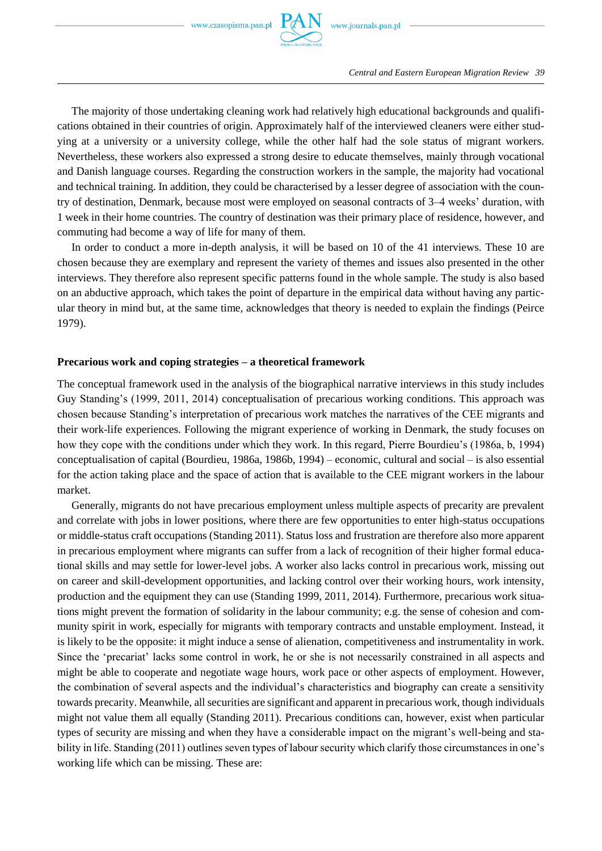

The majority of those undertaking cleaning work had relatively high educational backgrounds and qualifications obtained in their countries of origin. Approximately half of the interviewed cleaners were either studying at a university or a university college, while the other half had the sole status of migrant workers. Nevertheless, these workers also expressed a strong desire to educate themselves, mainly through vocational and Danish language courses. Regarding the construction workers in the sample, the majority had vocational and technical training. In addition, they could be characterised by a lesser degree of association with the country of destination, Denmark, because most were employed on seasonal contracts of 3–4 weeks' duration, with 1 week in their home countries. The country of destination was their primary place of residence, however, and commuting had become a way of life for many of them.

In order to conduct a more in-depth analysis, it will be based on 10 of the 41 interviews. These 10 are chosen because they are exemplary and represent the variety of themes and issues also presented in the other interviews. They therefore also represent specific patterns found in the whole sample. The study is also based on an abductive approach, which takes the point of departure in the empirical data without having any particular theory in mind but, at the same time, acknowledges that theory is needed to explain the findings (Peirce 1979).

## **Precarious work and coping strategies – a theoretical framework**

The conceptual framework used in the analysis of the biographical narrative interviews in this study includes Guy Standing's (1999, 2011, 2014) conceptualisation of precarious working conditions. This approach was chosen because Standing's interpretation of precarious work matches the narratives of the CEE migrants and their work-life experiences. Following the migrant experience of working in Denmark, the study focuses on how they cope with the conditions under which they work. In this regard, Pierre Bourdieu's (1986a, b, 1994) conceptualisation of capital (Bourdieu, 1986a, 1986b, 1994) – economic, cultural and social – is also essential for the action taking place and the space of action that is available to the CEE migrant workers in the labour market.

Generally, migrants do not have precarious employment unless multiple aspects of precarity are prevalent and correlate with jobs in lower positions, where there are few opportunities to enter high-status occupations or middle-status craft occupations (Standing 2011). Status loss and frustration are therefore also more apparent in precarious employment where migrants can suffer from a lack of recognition of their higher formal educational skills and may settle for lower-level jobs. A worker also lacks control in precarious work, missing out on career and skill-development opportunities, and lacking control over their working hours, work intensity, production and the equipment they can use (Standing 1999, 2011, 2014). Furthermore, precarious work situations might prevent the formation of solidarity in the labour community; e.g. the sense of cohesion and community spirit in work, especially for migrants with temporary contracts and unstable employment. Instead, it is likely to be the opposite: it might induce a sense of alienation, competitiveness and instrumentality in work. Since the 'precariat' lacks some control in work, he or she is not necessarily constrained in all aspects and might be able to cooperate and negotiate wage hours, work pace or other aspects of employment. However, the combination of several aspects and the individual's characteristics and biography can create a sensitivity towards precarity. Meanwhile, all securities are significant and apparent in precarious work, though individuals might not value them all equally (Standing 2011). Precarious conditions can, however, exist when particular types of security are missing and when they have a considerable impact on the migrant's well-being and stability in life. Standing (2011) outlines seven types of labour security which clarify those circumstances in one's working life which can be missing. These are: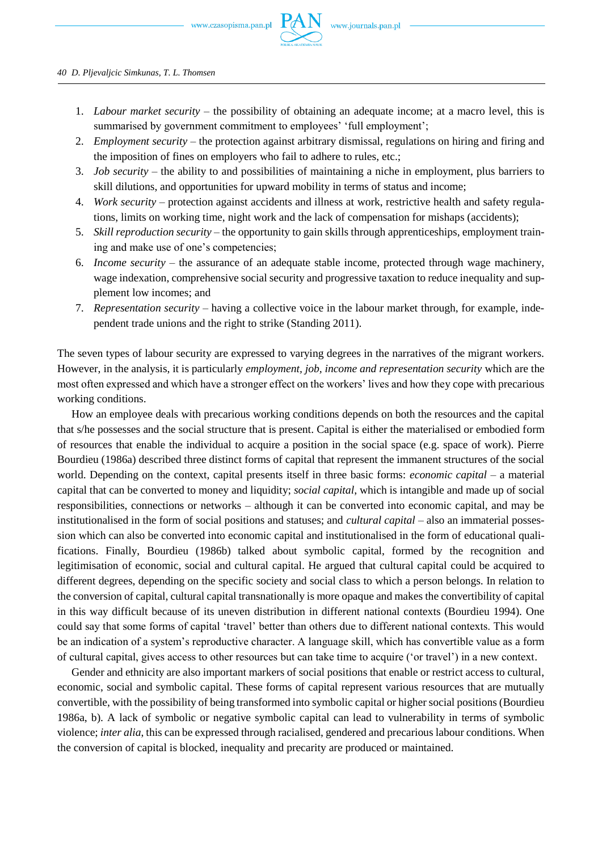- 1. *Labour market security* the possibility of obtaining an adequate income; at a macro level, this is summarised by government commitment to employees' 'full employment';
- 2. *Employment security* the protection against arbitrary dismissal, regulations on hiring and firing and the imposition of fines on employers who fail to adhere to rules, etc.;
- 3. *Job security* the ability to and possibilities of maintaining a niche in employment, plus barriers to skill dilutions, and opportunities for upward mobility in terms of status and income;
- 4. *Work security* protection against accidents and illness at work, restrictive health and safety regulations, limits on working time, night work and the lack of compensation for mishaps (accidents);
- 5. *Skill reproduction security* the opportunity to gain skills through apprenticeships, employment training and make use of one's competencies;
- 6. *Income security* the assurance of an adequate stable income, protected through wage machinery, wage indexation, comprehensive social security and progressive taxation to reduce inequality and supplement low incomes; and
- 7. *Representation security* having a collective voice in the labour market through, for example, independent trade unions and the right to strike (Standing 2011).

The seven types of labour security are expressed to varying degrees in the narratives of the migrant workers. However, in the analysis, it is particularly *employment, job, income and representation security* which are the most often expressed and which have a stronger effect on the workers' lives and how they cope with precarious working conditions.

How an employee deals with precarious working conditions depends on both the resources and the capital that s/he possesses and the social structure that is present. Capital is either the materialised or embodied form of resources that enable the individual to acquire a position in the social space (e.g. space of work). Pierre Bourdieu (1986a) described three distinct forms of capital that represent the immanent structures of the social world. Depending on the context, capital presents itself in three basic forms: *economic capital* – a material capital that can be converted to money and liquidity; *social capital*, which is intangible and made up of social responsibilities, connections or networks – although it can be converted into economic capital, and may be institutionalised in the form of social positions and statuses; and *cultural capital* – also an immaterial possession which can also be converted into economic capital and institutionalised in the form of educational qualifications. Finally, Bourdieu (1986b) talked about symbolic capital, formed by the recognition and legitimisation of economic, social and cultural capital. He argued that cultural capital could be acquired to different degrees, depending on the specific society and social class to which a person belongs. In relation to the conversion of capital, cultural capital transnationally is more opaque and makes the convertibility of capital in this way difficult because of its uneven distribution in different national contexts (Bourdieu 1994). One could say that some forms of capital 'travel' better than others due to different national contexts. This would be an indication of a system's reproductive character. A language skill, which has convertible value as a form of cultural capital, gives access to other resources but can take time to acquire ('or travel') in a new context.

Gender and ethnicity are also important markers of social positions that enable or restrict access to cultural, economic, social and symbolic capital. These forms of capital represent various resources that are mutually convertible, with the possibility of being transformed into symbolic capital or higher social positions (Bourdieu 1986a, b). A lack of symbolic or negative symbolic capital can lead to vulnerability in terms of symbolic violence; *inter alia*, this can be expressed through racialised, gendered and precarious labour conditions. When the conversion of capital is blocked, inequality and precarity are produced or maintained.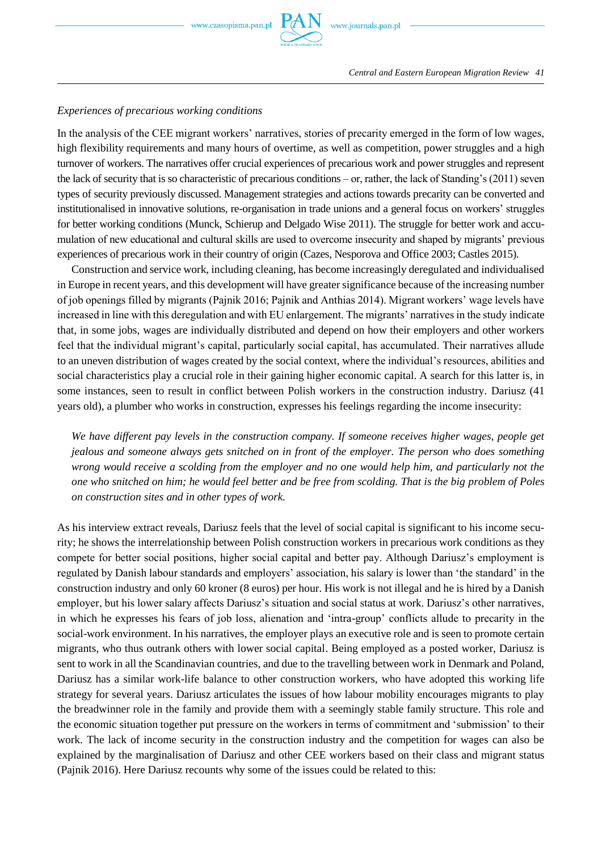

# *Experiences of precarious working conditions*

In the analysis of the CEE migrant workers' narratives, stories of precarity emerged in the form of low wages, high flexibility requirements and many hours of overtime, as well as competition, power struggles and a high turnover of workers. The narratives offer crucial experiences of precarious work and power struggles and represent the lack of security that is so characteristic of precarious conditions – or, rather, the lack of Standing's (2011) seven types of security previously discussed. Management strategies and actions towards precarity can be converted and institutionalised in innovative solutions, re-organisation in trade unions and a general focus on workers' struggles for better working conditions (Munck, Schierup and Delgado Wise 2011). The struggle for better work and accumulation of new educational and cultural skills are used to overcome insecurity and shaped by migrants' previous experiences of precarious work in their country of origin (Cazes, Nesporova and Office 2003; Castles 2015).

Construction and service work, including cleaning, has become increasingly deregulated and individualised in Europe in recent years, and this development will have greater significance because of the increasing number of job openings filled by migrants (Pajnik 2016; Pajnik and Anthias 2014). Migrant workers' wage levels have increased in line with this deregulation and with EU enlargement. The migrants' narratives in the study indicate that, in some jobs, wages are individually distributed and depend on how their employers and other workers feel that the individual migrant's capital, particularly social capital, has accumulated. Their narratives allude to an uneven distribution of wages created by the social context, where the individual's resources, abilities and social characteristics play a crucial role in their gaining higher economic capital. A search for this latter is, in some instances, seen to result in conflict between Polish workers in the construction industry. Dariusz (41 years old), a plumber who works in construction, expresses his feelings regarding the income insecurity:

*We have different pay levels in the construction company. If someone receives higher wages, people get jealous and someone always gets snitched on in front of the employer. The person who does something wrong would receive a scolding from the employer and no one would help him, and particularly not the one who snitched on him; he would feel better and be free from scolding. That is the big problem of Poles on construction sites and in other types of work.* 

As his interview extract reveals, Dariusz feels that the level of social capital is significant to his income security; he shows the interrelationship between Polish construction workers in precarious work conditions as they compete for better social positions, higher social capital and better pay. Although Dariusz's employment is regulated by Danish labour standards and employers' association, his salary is lower than 'the standard' in the construction industry and only 60 kroner (8 euros) per hour. His work is not illegal and he is hired by a Danish employer, but his lower salary affects Dariusz's situation and social status at work. Dariusz's other narratives, in which he expresses his fears of job loss, alienation and 'intra-group' conflicts allude to precarity in the social-work environment. In his narratives, the employer plays an executive role and is seen to promote certain migrants, who thus outrank others with lower social capital. Being employed as a posted worker, Dariusz is sent to work in all the Scandinavian countries, and due to the travelling between work in Denmark and Poland, Dariusz has a similar work-life balance to other construction workers, who have adopted this working life strategy for several years. Dariusz articulates the issues of how labour mobility encourages migrants to play the breadwinner role in the family and provide them with a seemingly stable family structure. This role and the economic situation together put pressure on the workers in terms of commitment and 'submission' to their work. The lack of income security in the construction industry and the competition for wages can also be explained by the marginalisation of Dariusz and other CEE workers based on their class and migrant status (Pajnik 2016). Here Dariusz recounts why some of the issues could be related to this: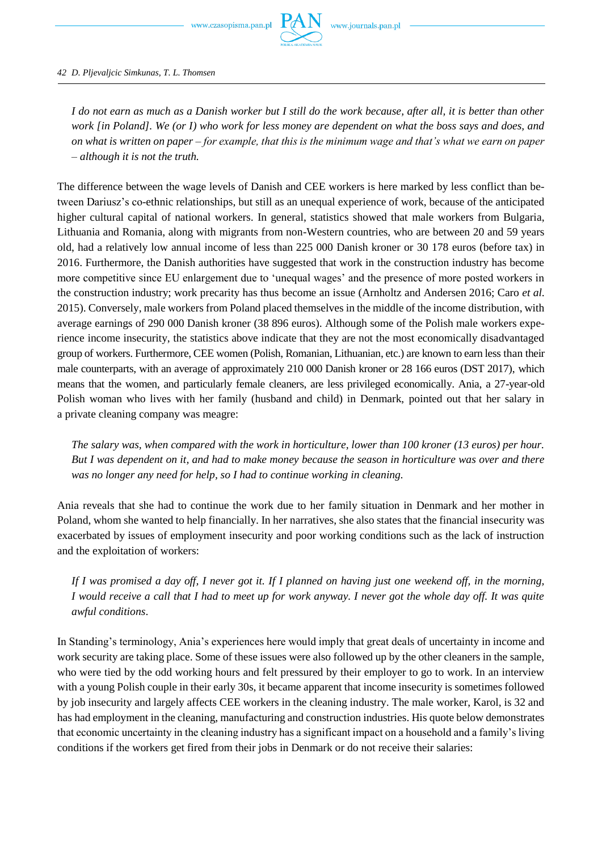

*42 D. Pljevaljcic Simkunas, T. L. Thomsen*

*I do not earn as much as a Danish worker but I still do the work because, after all, it is better than other work [in Poland]. We (or I) who work for less money are dependent on what the boss says and does, and on what is written on paper – for example, that this is the minimum wage and that's what we earn on paper – although it is not the truth.* 

The difference between the wage levels of Danish and CEE workers is here marked by less conflict than between Dariusz's co-ethnic relationships, but still as an unequal experience of work, because of the anticipated higher cultural capital of national workers. In general, statistics showed that male workers from Bulgaria, Lithuania and Romania, along with migrants from non-Western countries, who are between 20 and 59 years old, had a relatively low annual income of less than 225 000 Danish kroner or 30 178 euros (before tax) in 2016. Furthermore, the Danish authorities have suggested that work in the construction industry has become more competitive since EU enlargement due to 'unequal wages' and the presence of more posted workers in the construction industry; work precarity has thus become an issue (Arnholtz and Andersen 2016; Caro *et al*. 2015). Conversely, male workers from Poland placed themselves in the middle of the income distribution, with average earnings of 290 000 Danish kroner (38 896 euros). Although some of the Polish male workers experience income insecurity, the statistics above indicate that they are not the most economically disadvantaged group of workers. Furthermore, CEE women (Polish, Romanian, Lithuanian, etc.) are known to earn less than their male counterparts, with an average of approximately 210 000 Danish kroner or 28 166 euros (DST 2017), which means that the women, and particularly female cleaners, are less privileged economically. Ania, a 27-year-old Polish woman who lives with her family (husband and child) in Denmark, pointed out that her salary in a private cleaning company was meagre:

*The salary was, when compared with the work in horticulture, lower than 100 kroner (13 euros) per hour. But I was dependent on it, and had to make money because the season in horticulture was over and there was no longer any need for help, so I had to continue working in cleaning.*

Ania reveals that she had to continue the work due to her family situation in Denmark and her mother in Poland, whom she wanted to help financially. In her narratives, she also states that the financial insecurity was exacerbated by issues of employment insecurity and poor working conditions such as the lack of instruction and the exploitation of workers:

*If I was promised a day off, I never got it. If I planned on having just one weekend off, in the morning, I would receive a call that I had to meet up for work anyway. I never got the whole day off. It was quite awful conditions*.

In Standing's terminology, Ania's experiences here would imply that great deals of uncertainty in income and work security are taking place. Some of these issues were also followed up by the other cleaners in the sample, who were tied by the odd working hours and felt pressured by their employer to go to work. In an interview with a young Polish couple in their early 30s, it became apparent that income insecurity is sometimes followed by job insecurity and largely affects CEE workers in the cleaning industry. The male worker, Karol, is 32 and has had employment in the cleaning, manufacturing and construction industries. His quote below demonstrates that economic uncertainty in the cleaning industry has a significant impact on a household and a family's living conditions if the workers get fired from their jobs in Denmark or do not receive their salaries: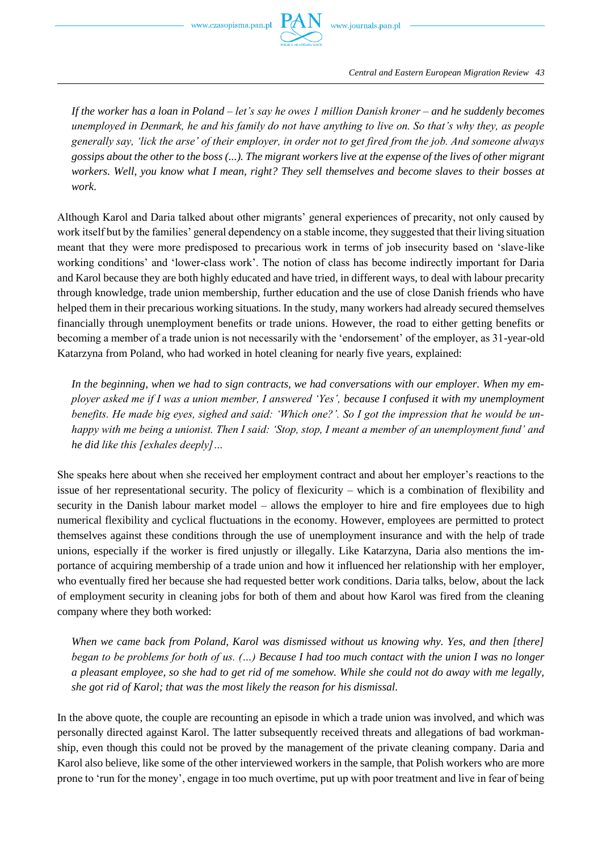

*Central and Eastern European Migration Review 43*

*If the worker has a loan in Poland – let's say he owes 1 million Danish kroner – and he suddenly becomes unemployed in Denmark, he and his family do not have anything to live on. So that's why they, as people generally say, 'lick the arse' of their employer, in order not to get fired from the job. And someone always gossips about the other to the boss (...). The migrant workers live at the expense of the lives of other migrant workers. Well, you know what I mean, right? They sell themselves and become slaves to their bosses at work.* 

Although Karol and Daria talked about other migrants' general experiences of precarity, not only caused by work itself but by the families' general dependency on a stable income, they suggested that their living situation meant that they were more predisposed to precarious work in terms of job insecurity based on 'slave-like working conditions' and 'lower-class work'. The notion of class has become indirectly important for Daria and Karol because they are both highly educated and have tried, in different ways, to deal with labour precarity through knowledge, trade union membership, further education and the use of close Danish friends who have helped them in their precarious working situations. In the study, many workers had already secured themselves financially through unemployment benefits or trade unions. However, the road to either getting benefits or becoming a member of a trade union is not necessarily with the 'endorsement' of the employer, as 31-year-old Katarzyna from Poland, who had worked in hotel cleaning for nearly five years, explained:

*In the beginning, when we had to sign contracts, we had conversations with our employer. When my employer asked me if I was a union member, I answered 'Yes', because I confused it with my unemployment benefits. He made big eyes, sighed and said: 'Which one?'. So I got the impression that he would be unhappy with me being a unionist. Then I said: 'Stop, stop, I meant a member of an unemployment fund' and he did like this [exhales deeply]…*

She speaks here about when she received her employment contract and about her employer's reactions to the issue of her representational security. The policy of flexicurity – which is a combination of flexibility and security in the Danish labour market model – allows the employer to hire and fire employees due to high numerical flexibility and cyclical fluctuations in the economy. However, employees are permitted to protect themselves against these conditions through the use of unemployment insurance and with the help of trade unions, especially if the worker is fired unjustly or illegally. Like Katarzyna, Daria also mentions the importance of acquiring membership of a trade union and how it influenced her relationship with her employer, who eventually fired her because she had requested better work conditions. Daria talks, below, about the lack of employment security in cleaning jobs for both of them and about how Karol was fired from the cleaning company where they both worked:

When we came back from Poland, Karol was dismissed without us knowing why. Yes, and then [there] *began to be problems for both of us. (…) Because I had too much contact with the union I was no longer a pleasant employee, so she had to get rid of me somehow. While she could not do away with me legally, she got rid of Karol; that was the most likely the reason for his dismissal.*

In the above quote, the couple are recounting an episode in which a trade union was involved, and which was personally directed against Karol. The latter subsequently received threats and allegations of bad workmanship, even though this could not be proved by the management of the private cleaning company. Daria and Karol also believe, like some of the other interviewed workers in the sample, that Polish workers who are more prone to 'run for the money', engage in too much overtime, put up with poor treatment and live in fear of being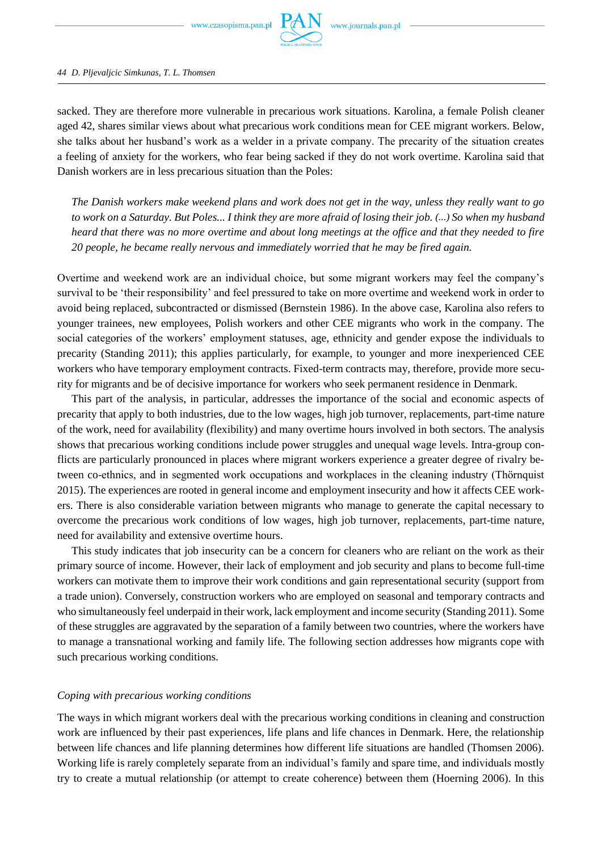

#### *44 D. Pljevaljcic Simkunas, T. L. Thomsen*

sacked. They are therefore more vulnerable in precarious work situations. Karolina, a female Polish cleaner aged 42, shares similar views about what precarious work conditions mean for CEE migrant workers. Below, she talks about her husband's work as a welder in a private company. The precarity of the situation creates a feeling of anxiety for the workers, who fear being sacked if they do not work overtime. Karolina said that Danish workers are in less precarious situation than the Poles:

*The Danish workers make weekend plans and work does not get in the way, unless they really want to go to work on a Saturday. But Poles... I think they are more afraid of losing their job. (...) So when my husband heard that there was no more overtime and about long meetings at the office and that they needed to fire 20 people, he became really nervous and immediately worried that he may be fired again.*

Overtime and weekend work are an individual choice, but some migrant workers may feel the company's survival to be 'their responsibility' and feel pressured to take on more overtime and weekend work in order to avoid being replaced, subcontracted or dismissed (Bernstein 1986). In the above case, Karolina also refers to younger trainees, new employees, Polish workers and other CEE migrants who work in the company. The social categories of the workers' employment statuses, age, ethnicity and gender expose the individuals to precarity (Standing 2011); this applies particularly, for example, to younger and more inexperienced CEE workers who have temporary employment contracts. Fixed-term contracts may, therefore, provide more security for migrants and be of decisive importance for workers who seek permanent residence in Denmark.

This part of the analysis, in particular, addresses the importance of the social and economic aspects of precarity that apply to both industries, due to the low wages, high job turnover, replacements, part-time nature of the work, need for availability (flexibility) and many overtime hours involved in both sectors. The analysis shows that precarious working conditions include power struggles and unequal wage levels. Intra-group conflicts are particularly pronounced in places where migrant workers experience a greater degree of rivalry between co-ethnics, and in segmented work occupations and workplaces in the cleaning industry (Thörnquist 2015). The experiences are rooted in general income and employment insecurity and how it affects CEE workers. There is also considerable variation between migrants who manage to generate the capital necessary to overcome the precarious work conditions of low wages, high job turnover, replacements, part-time nature, need for availability and extensive overtime hours.

This study indicates that job insecurity can be a concern for cleaners who are reliant on the work as their primary source of income. However, their lack of employment and job security and plans to become full-time workers can motivate them to improve their work conditions and gain representational security (support from a trade union). Conversely, construction workers who are employed on seasonal and temporary contracts and who simultaneously feel underpaid in their work, lack employment and income security (Standing 2011). Some of these struggles are aggravated by the separation of a family between two countries, where the workers have to manage a transnational working and family life. The following section addresses how migrants cope with such precarious working conditions.

# *Coping with precarious working conditions*

The ways in which migrant workers deal with the precarious working conditions in cleaning and construction work are influenced by their past experiences, life plans and life chances in Denmark. Here, the relationship between life chances and life planning determines how different life situations are handled (Thomsen 2006). Working life is rarely completely separate from an individual's family and spare time, and individuals mostly try to create a mutual relationship (or attempt to create coherence) between them (Hoerning 2006). In this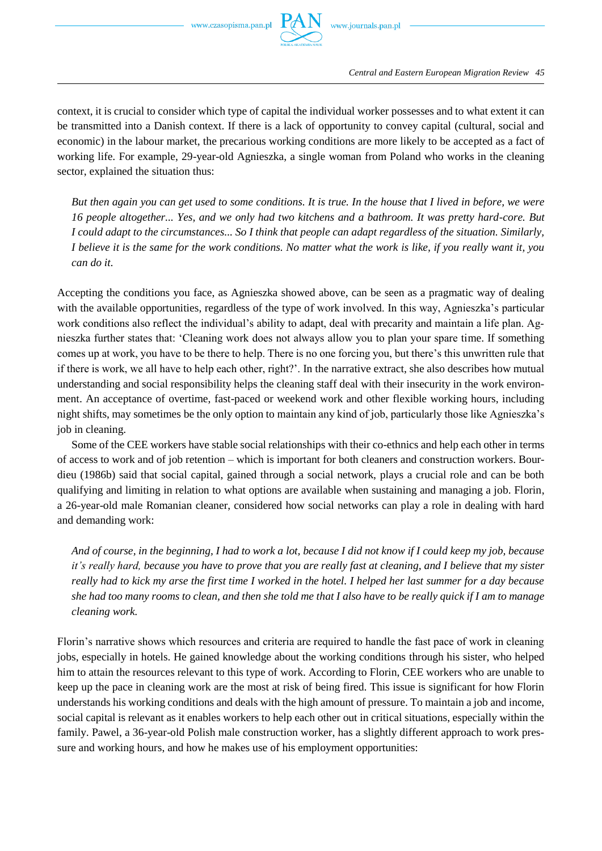

context, it is crucial to consider which type of capital the individual worker possesses and to what extent it can be transmitted into a Danish context. If there is a lack of opportunity to convey capital (cultural, social and economic) in the labour market, the precarious working conditions are more likely to be accepted as a fact of working life. For example, 29-year-old Agnieszka, a single woman from Poland who works in the cleaning sector, explained the situation thus:

*But then again you can get used to some conditions. It is true. In the house that I lived in before, we were 16 people altogether... Yes, and we only had two kitchens and a bathroom. It was pretty hard-core. But I could adapt to the circumstances... So I think that people can adapt regardless of the situation. Similarly, I believe it is the same for the work conditions. No matter what the work is like, if you really want it, you can do it.*

Accepting the conditions you face, as Agnieszka showed above, can be seen as a pragmatic way of dealing with the available opportunities, regardless of the type of work involved. In this way, Agnieszka's particular work conditions also reflect the individual's ability to adapt, deal with precarity and maintain a life plan. Agnieszka further states that: 'Cleaning work does not always allow you to plan your spare time. If something comes up at work, you have to be there to help. There is no one forcing you, but there's this unwritten rule that if there is work, we all have to help each other, right?'. In the narrative extract, she also describes how mutual understanding and social responsibility helps the cleaning staff deal with their insecurity in the work environment. An acceptance of overtime, fast-paced or weekend work and other flexible working hours, including night shifts, may sometimes be the only option to maintain any kind of job, particularly those like Agnieszka's job in cleaning.

Some of the CEE workers have stable social relationships with their co-ethnics and help each other in terms of access to work and of job retention – which is important for both cleaners and construction workers. Bourdieu (1986b) said that social capital, gained through a social network, plays a crucial role and can be both qualifying and limiting in relation to what options are available when sustaining and managing a job. Florin, a 26-year-old male Romanian cleaner, considered how social networks can play a role in dealing with hard and demanding work:

*And of course, in the beginning, I had to work a lot, because I did not know if I could keep my job, because it's really hard, because you have to prove that you are really fast at cleaning, and I believe that my sister really had to kick my arse the first time I worked in the hotel. I helped her last summer for a day because she had too many rooms to clean, and then she told me that I also have to be really quick if I am to manage cleaning work.*

Florin's narrative shows which resources and criteria are required to handle the fast pace of work in cleaning jobs, especially in hotels. He gained knowledge about the working conditions through his sister, who helped him to attain the resources relevant to this type of work. According to Florin, CEE workers who are unable to keep up the pace in cleaning work are the most at risk of being fired. This issue is significant for how Florin understands his working conditions and deals with the high amount of pressure. To maintain a job and income, social capital is relevant as it enables workers to help each other out in critical situations, especially within the family. Pawel, a 36-year-old Polish male construction worker, has a slightly different approach to work pressure and working hours, and how he makes use of his employment opportunities: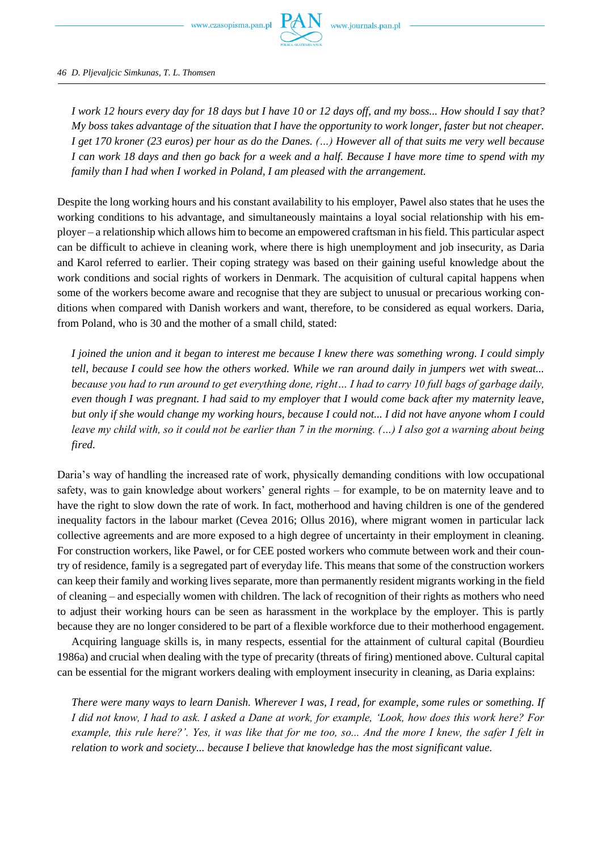

*46 D. Pljevaljcic Simkunas, T. L. Thomsen*

*I work 12 hours every day for 18 days but I have 10 or 12 days off, and my boss... How should I say that? My boss takes advantage of the situation that I have the opportunity to work longer, faster but not cheaper. I get 170 kroner (23 euros) per hour as do the Danes. (…) However all of that suits me very well because I can work 18 days and then go back for a week and a half. Because I have more time to spend with my family than I had when I worked in Poland, I am pleased with the arrangement.*

Despite the long working hours and his constant availability to his employer, Pawel also states that he uses the working conditions to his advantage, and simultaneously maintains a loyal social relationship with his employer – a relationship which allows him to become an empowered craftsman in his field. This particular aspect can be difficult to achieve in cleaning work, where there is high unemployment and job insecurity, as Daria and Karol referred to earlier. Their coping strategy was based on their gaining useful knowledge about the work conditions and social rights of workers in Denmark. The acquisition of cultural capital happens when some of the workers become aware and recognise that they are subject to unusual or precarious working conditions when compared with Danish workers and want, therefore, to be considered as equal workers. Daria, from Poland, who is 30 and the mother of a small child, stated:

*I joined the union and it began to interest me because I knew there was something wrong. I could simply tell, because I could see how the others worked. While we ran around daily in jumpers wet with sweat... because you had to run around to get everything done, right… I had to carry 10 full bags of garbage daily, even though I was pregnant. I had said to my employer that I would come back after my maternity leave, but only if she would change my working hours, because I could not... I did not have anyone whom I could leave my child with, so it could not be earlier than 7 in the morning. (…) I also got a warning about being fired.*

Daria's way of handling the increased rate of work, physically demanding conditions with low occupational safety, was to gain knowledge about workers' general rights – for example, to be on maternity leave and to have the right to slow down the rate of work. In fact, motherhood and having children is one of the gendered inequality factors in the labour market (Cevea 2016; Ollus 2016), where migrant women in particular lack collective agreements and are more exposed to a high degree of uncertainty in their employment in cleaning. For construction workers, like Pawel, or for CEE posted workers who commute between work and their country of residence, family is a segregated part of everyday life. This means that some of the construction workers can keep their family and working lives separate, more than permanently resident migrants working in the field of cleaning – and especially women with children. The lack of recognition of their rights as mothers who need to adjust their working hours can be seen as harassment in the workplace by the employer. This is partly because they are no longer considered to be part of a flexible workforce due to their motherhood engagement.

Acquiring language skills is, in many respects, essential for the attainment of cultural capital (Bourdieu 1986a) and crucial when dealing with the type of precarity (threats of firing) mentioned above. Cultural capital can be essential for the migrant workers dealing with employment insecurity in cleaning, as Daria explains:

*There were many ways to learn Danish. Wherever I was, I read, for example, some rules or something. If I did not know, I had to ask. I asked a Dane at work, for example, 'Look, how does this work here? For example, this rule here?'. Yes, it was like that for me too, so... And the more I knew, the safer I felt in relation to work and society... because I believe that knowledge has the most significant value.*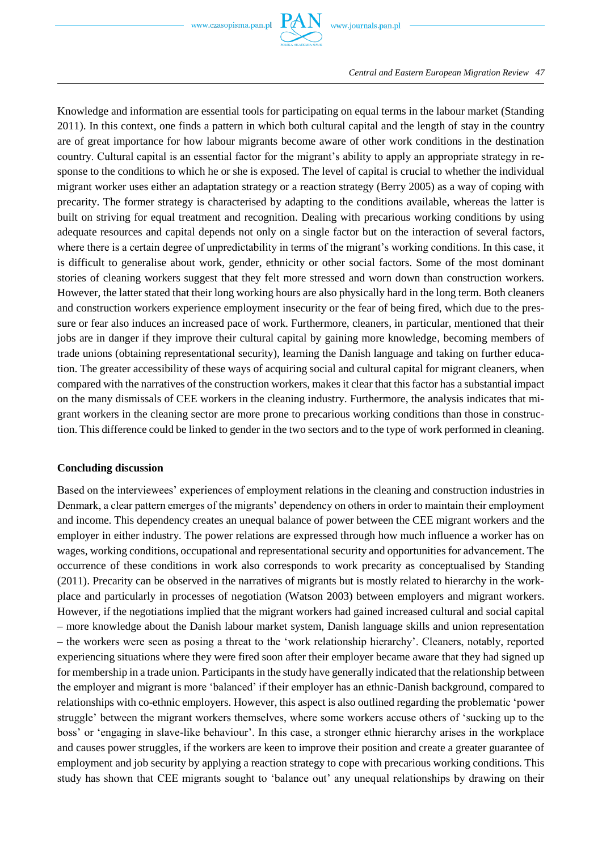

Knowledge and information are essential tools for participating on equal terms in the labour market (Standing 2011). In this context, one finds a pattern in which both cultural capital and the length of stay in the country are of great importance for how labour migrants become aware of other work conditions in the destination country. Cultural capital is an essential factor for the migrant's ability to apply an appropriate strategy in response to the conditions to which he or she is exposed. The level of capital is crucial to whether the individual migrant worker uses either an adaptation strategy or a reaction strategy (Berry 2005) as a way of coping with precarity. The former strategy is characterised by adapting to the conditions available, whereas the latter is built on striving for equal treatment and recognition. Dealing with precarious working conditions by using adequate resources and capital depends not only on a single factor but on the interaction of several factors, where there is a certain degree of unpredictability in terms of the migrant's working conditions. In this case, it is difficult to generalise about work, gender, ethnicity or other social factors. Some of the most dominant stories of cleaning workers suggest that they felt more stressed and worn down than construction workers. However, the latter stated that their long working hours are also physically hard in the long term. Both cleaners and construction workers experience employment insecurity or the fear of being fired, which due to the pressure or fear also induces an increased pace of work. Furthermore, cleaners, in particular, mentioned that their jobs are in danger if they improve their cultural capital by gaining more knowledge, becoming members of trade unions (obtaining representational security), learning the Danish language and taking on further education. The greater accessibility of these ways of acquiring social and cultural capital for migrant cleaners, when compared with the narratives of the construction workers, makes it clear that this factor has a substantial impact on the many dismissals of CEE workers in the cleaning industry. Furthermore, the analysis indicates that migrant workers in the cleaning sector are more prone to precarious working conditions than those in construction. This difference could be linked to gender in the two sectors and to the type of work performed in cleaning.

# **Concluding discussion**

Based on the interviewees' experiences of employment relations in the cleaning and construction industries in Denmark, a clear pattern emerges of the migrants' dependency on others in order to maintain their employment and income. This dependency creates an unequal balance of power between the CEE migrant workers and the employer in either industry. The power relations are expressed through how much influence a worker has on wages, working conditions, occupational and representational security and opportunities for advancement. The occurrence of these conditions in work also corresponds to work precarity as conceptualised by Standing (2011). Precarity can be observed in the narratives of migrants but is mostly related to hierarchy in the workplace and particularly in processes of negotiation (Watson 2003) between employers and migrant workers. However, if the negotiations implied that the migrant workers had gained increased cultural and social capital – more knowledge about the Danish labour market system, Danish language skills and union representation – the workers were seen as posing a threat to the 'work relationship hierarchy'. Cleaners, notably, reported experiencing situations where they were fired soon after their employer became aware that they had signed up for membership in a trade union. Participants in the study have generally indicated that the relationship between the employer and migrant is more 'balanced' if their employer has an ethnic-Danish background, compared to relationships with co-ethnic employers. However, this aspect is also outlined regarding the problematic 'power struggle' between the migrant workers themselves, where some workers accuse others of 'sucking up to the boss' or 'engaging in slave-like behaviour'. In this case, a stronger ethnic hierarchy arises in the workplace and causes power struggles, if the workers are keen to improve their position and create a greater guarantee of employment and job security by applying a reaction strategy to cope with precarious working conditions. This study has shown that CEE migrants sought to 'balance out' any unequal relationships by drawing on their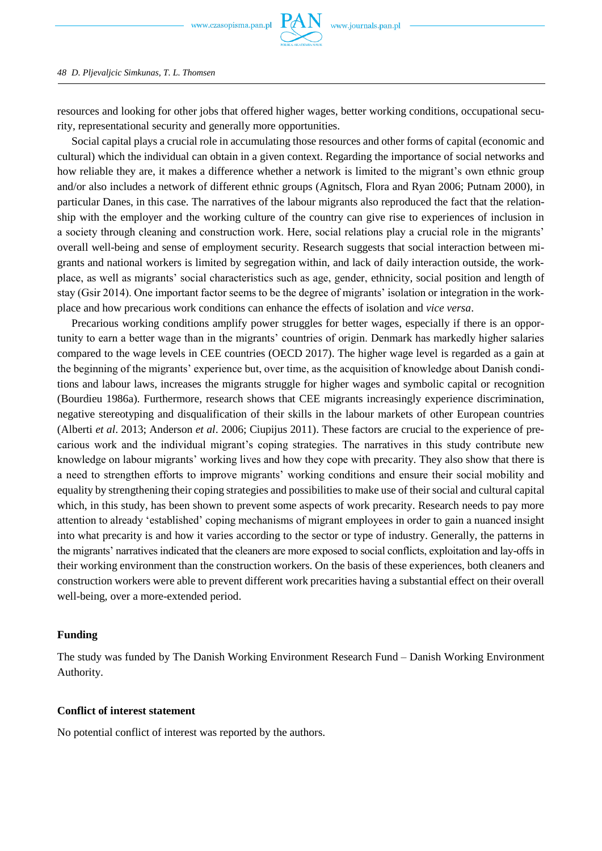

#### *48 D. Pljevaljcic Simkunas, T. L. Thomsen*

resources and looking for other jobs that offered higher wages, better working conditions, occupational security, representational security and generally more opportunities.

Social capital plays a crucial role in accumulating those resources and other forms of capital (economic and cultural) which the individual can obtain in a given context. Regarding the importance of social networks and how reliable they are, it makes a difference whether a network is limited to the migrant's own ethnic group and/or also includes a network of different ethnic groups (Agnitsch, Flora and Ryan 2006; Putnam 2000), in particular Danes, in this case. The narratives of the labour migrants also reproduced the fact that the relationship with the employer and the working culture of the country can give rise to experiences of inclusion in a society through cleaning and construction work. Here, social relations play a crucial role in the migrants' overall well-being and sense of employment security. Research suggests that social interaction between migrants and national workers is limited by segregation within, and lack of daily interaction outside, the workplace, as well as migrants' social characteristics such as age, gender, ethnicity, social position and length of stay (Gsir 2014). One important factor seems to be the degree of migrants' isolation or integration in the workplace and how precarious work conditions can enhance the effects of isolation and *vice versa*.

Precarious working conditions amplify power struggles for better wages, especially if there is an opportunity to earn a better wage than in the migrants' countries of origin. Denmark has markedly higher salaries compared to the wage levels in CEE countries (OECD 2017). The higher wage level is regarded as a gain at the beginning of the migrants' experience but, over time, as the acquisition of knowledge about Danish conditions and labour laws, increases the migrants struggle for higher wages and symbolic capital or recognition (Bourdieu 1986a). Furthermore, research shows that CEE migrants increasingly experience discrimination, negative stereotyping and disqualification of their skills in the labour markets of other European countries (Alberti *et al*. 2013; Anderson *et al*. 2006; Ciupijus 2011). These factors are crucial to the experience of precarious work and the individual migrant's coping strategies. The narratives in this study contribute new knowledge on labour migrants' working lives and how they cope with precarity. They also show that there is a need to strengthen efforts to improve migrants' working conditions and ensure their social mobility and equality by strengthening their coping strategies and possibilities to make use of their social and cultural capital which, in this study, has been shown to prevent some aspects of work precarity. Research needs to pay more attention to already 'established' coping mechanisms of migrant employees in order to gain a nuanced insight into what precarity is and how it varies according to the sector or type of industry. Generally, the patterns in the migrants' narratives indicated that the cleaners are more exposed to social conflicts, exploitation and lay-offs in their working environment than the construction workers. On the basis of these experiences, both cleaners and construction workers were able to prevent different work precarities having a substantial effect on their overall well-being, over a more-extended period.

# **Funding**

The study was funded by The Danish Working Environment Research Fund – Danish Working Environment Authority.

## **Conflict of interest statement**

No potential conflict of interest was reported by the authors.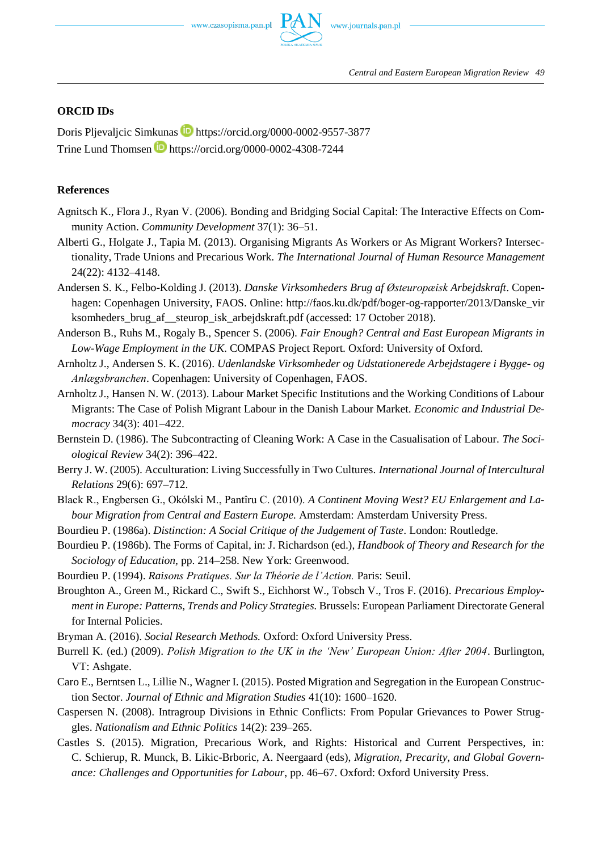# **ORCID IDs**

Doris Pljevaljcic Simkunas **iD** https://orcid.org/0000-0002-9557-3877 Trine Lund Thomsen **b** https://orcid.org/0000-0002-4308-7244

### **References**

- Agnitsch K., Flora J., Ryan V. (2006). Bonding and Bridging Social Capital: The Interactive Effects on Community Action. *Community Development* 37(1): 36–51.
- Alberti G., Holgate J., Tapia M. (2013). Organising Migrants As Workers or As Migrant Workers? Intersectionality, Trade Unions and Precarious Work. *The International Journal of Human Resource Management* 24(22): 4132–4148.
- Andersen S. K., Felbo-Kolding J. (2013). *Danske Virksomheders Brug af Østeuropæisk Arbejdskraft*. Copenhagen: Copenhagen University, FAOS. Online: http://faos.ku.dk/pdf/boger-og-rapporter/2013/Danske\_vir ksomheders brug af steurop isk arbejdskraft.pdf (accessed: 17 October 2018).
- Anderson B., Ruhs M., Rogaly B., Spencer S. (2006). *Fair Enough? Central and East European Migrants in Low-Wage Employment in the UK*. COMPAS Project Report. Oxford: University of Oxford.
- Arnholtz J., Andersen S. K. (2016). *Udenlandske Virksomheder og Udstationerede Arbejdstagere i Bygge- og Anlægsbranchen*. Copenhagen: University of Copenhagen, FAOS.
- Arnholtz J., Hansen N. W. (2013). Labour Market Specific Institutions and the Working Conditions of Labour Migrants: The Case of Polish Migrant Labour in the Danish Labour Market. *Economic and Industrial Democracy* 34(3): 401–422.
- Bernstein D. (1986). The Subcontracting of Cleaning Work: A Case in the Casualisation of Labour. *The Sociological Review* 34(2): 396–422.
- Berry J. W. (2005). Acculturation: Living Successfully in Two Cultures. *International Journal of Intercultural Relations* 29(6): 697–712.
- Black R., Engbersen G., Okólski M., Pantîru C. (2010). *A Continent Moving West? EU Enlargement and Labour Migration from Central and Eastern Europe.* Amsterdam: Amsterdam University Press.
- Bourdieu P. (1986a). *Distinction: A Social Critique of the Judgement of Taste*. London: Routledge.
- Bourdieu P. (1986b). The Forms of Capital, in: J. Richardson (ed.), *Handbook of Theory and Research for the Sociology of Education*, pp. 214–258. New York: Greenwood.
- Bourdieu P. (1994). *Raisons Pratiques. Sur la Théorie de l'Action.* Paris: Seuil.
- Broughton A., Green M., Rickard C., Swift S., Eichhorst W., Tobsch V., Tros F. (2016). *Precarious Employment in Europe: Patterns, Trends and Policy Strategies.* Brussels: European Parliament Directorate General for Internal Policies.
- Bryman A. (2016). *Social Research Methods.* Oxford: Oxford University Press.
- Burrell K. (ed.) (2009). *Polish Migration to the UK in the 'New' European Union: After 2004*. Burlington, VT: Ashgate.
- Caro E., Berntsen L., Lillie N., Wagner I. (2015). Posted Migration and Segregation in the European Construction Sector. *Journal of Ethnic and Migration Studies* 41(10): 1600–1620.
- Caspersen N. (2008). Intragroup Divisions in Ethnic Conflicts: From Popular Grievances to Power Struggles. *Nationalism and Ethnic Politics* 14(2): 239–265.
- Castles S. (2015). Migration, Precarious Work, and Rights: Historical and Current Perspectives, in: C. Schierup, R. Munck, B. Likic-Brboric, A. Neergaard (eds), *Migration, Precarity, and Global Governance: Challenges and Opportunities for Labour*, pp. 46–67. Oxford: Oxford University Press.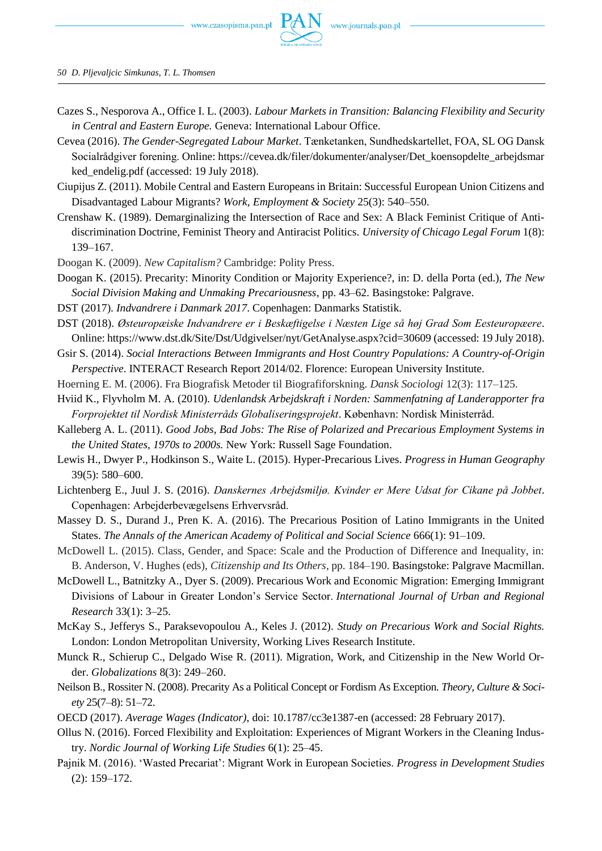

*50 D. Pljevaljcic Simkunas, T. L. Thomsen*

- Cazes S., Nesporova A., Office I. L. (2003). *Labour Markets in Transition: Balancing Flexibility and Security in Central and Eastern Europe.* Geneva: International Labour Office.
- Cevea (2016). *The Gender-Segregated Labour Market*. Tænketanken, Sundhedskartellet, FOA, SL OG Dansk Socialrådgiver forening. Online: https://cevea.dk/filer/dokumenter/analyser/Det\_koensopdelte\_arbejdsmar ked endelig.pdf (accessed: 19 July 2018).
- Ciupijus Z. (2011). Mobile Central and Eastern Europeans in Britain: Successful European Union Citizens and Disadvantaged Labour Migrants? *Work, Employment & Society* 25(3): 540–550.
- Crenshaw K. (1989). Demarginalizing the Intersection of Race and Sex: A Black Feminist Critique of Antidiscrimination Doctrine, Feminist Theory and Antiracist Politics. *University of Chicago Legal Forum* 1(8): 139–167.
- Doogan K. (2009). *New Capitalism?* Cambridge: Polity Press.
- Doogan K. (2015). Precarity: Minority Condition or Majority Experience?, in: D. della Porta (ed.), *The New Social Division Making and Unmaking Precariousness*, pp. 43–62. Basingstoke: Palgrave.
- DST (2017). *Indvandrere i Danmark 2017*. Copenhagen: Danmarks Statistik.
- DST (2018). *Østeuropæiske Indvandrere er i Beskæftigelse i Næsten Lige så høj Grad Som Eesteuropæere*. Online: https://www.dst.dk/Site/Dst/Udgivelser/nyt/GetAnalyse.aspx?cid=30609 (accessed: 19 July 2018).
- Gsir S. (2014). *Social Interactions Between Immigrants and Host Country Populations: A Country-of-Origin Perspective*. INTERACT Research Report 2014/02. Florence: European University Institute.
- Hoerning E. M. (2006). Fra Biografisk Metoder til Biografiforskning. *Dansk Sociologi* 12(3): 117–125.
- Hviid K., Flyvholm M. A. (2010). *Udenlandsk Arbejdskraft i Norden: Sammenfatning af Landerapporter fra Forprojektet til Nordisk Ministerråds Globaliseringsprojekt*. København: Nordisk Ministerråd.
- Kalleberg A. L. (2011). *Good Jobs, Bad Jobs: The Rise of Polarized and Precarious Employment Systems in the United States, 1970s to 2000s.* New York: Russell Sage Foundation.
- Lewis H., Dwyer P., Hodkinson S., Waite L. (2015). Hyper-Precarious Lives. *Progress in Human Geography* 39(5): 580–600.
- Lichtenberg E., Juul J. S. (2016). *Danskernes Arbejdsmiljø. Kvinder er Mere Udsat for Cikane på Jobbet*. Copenhagen: Arbejderbevægelsens Erhvervsråd.
- Massey D. S., Durand J., Pren K. A. (2016). The Precarious Position of Latino Immigrants in the United States. *The Annals of the American Academy of Political and Social Science* 666(1): 91–109.
- McDowell L. (2015). Class, Gender, and Space: Scale and the Production of Difference and Inequality, in: B. Anderson, V. Hughes (eds), *Citizenship and Its Others*, pp. 184–190. Basingstoke: Palgrave Macmillan.
- McDowell L., Batnitzky A., Dyer S. (2009). Precarious Work and Economic Migration: Emerging Immigrant Divisions of Labour in Greater London's Service Sector. *International Journal of Urban and Regional Research* 33(1): 3–25.
- McKay S., Jefferys S., Paraksevopoulou A., Keles J. (2012). *Study on Precarious Work and Social Rights.* London: London Metropolitan University, Working Lives Research Institute.
- Munck R., Schierup C., Delgado Wise R. (2011). Migration, Work, and Citizenship in the New World Order. *Globalizations* 8(3): 249–260.
- Neilson B., Rossiter N. (2008). Precarity As a Political Concept or Fordism As Exception. *Theory, Culture & Society* 25(7–8): 51–72.
- OECD (2017). *Average Wages (Indicator)*, doi: 10.1787/cc3e1387-en (accessed: 28 February 2017).
- Ollus N. (2016). Forced Flexibility and Exploitation: Experiences of Migrant Workers in the Cleaning Industry. *Nordic Journal of Working Life Studies* 6(1): 25–45.
- Pajnik M. (2016). 'Wasted Precariat': Migrant Work in European Societies. *Progress in Development Studies* (2): 159–172.